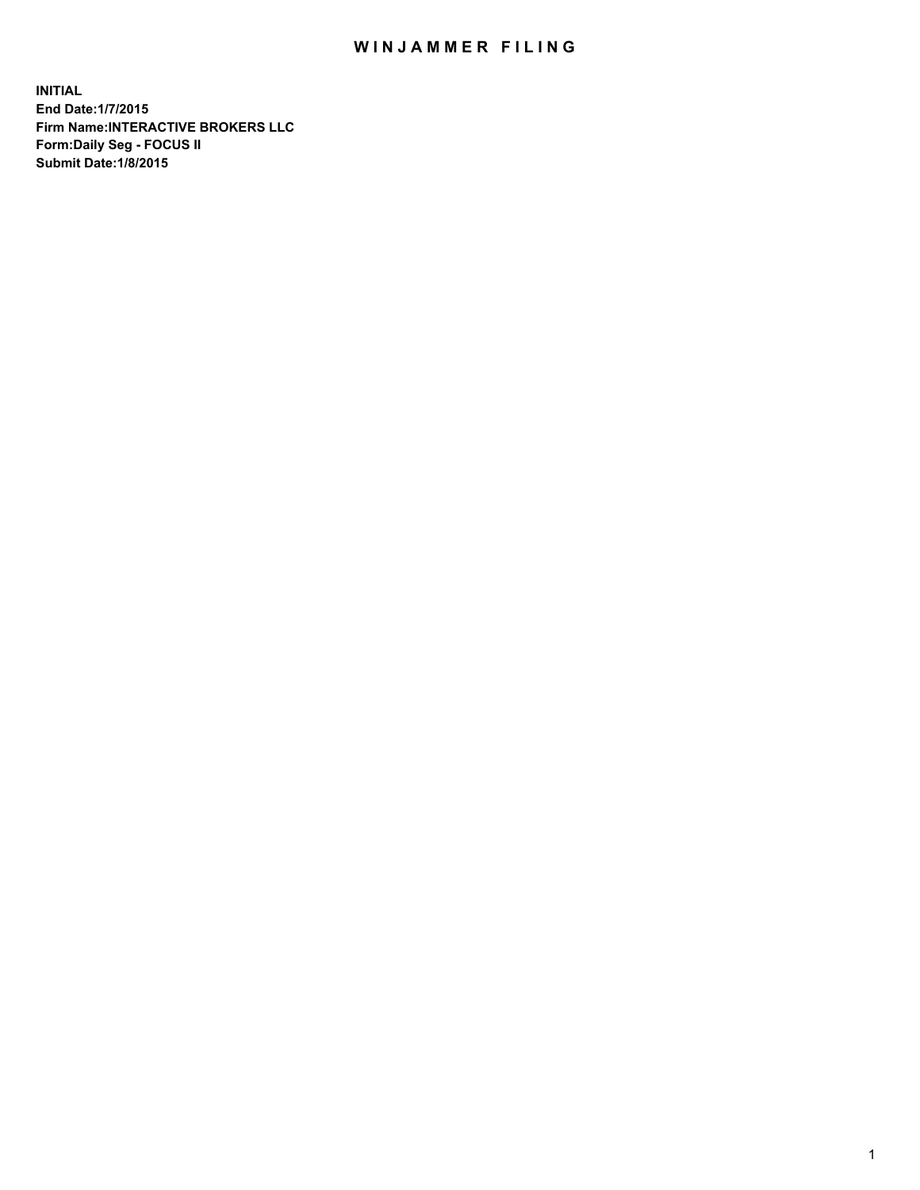## WIN JAMMER FILING

**INITIAL End Date:1/7/2015 Firm Name:INTERACTIVE BROKERS LLC Form:Daily Seg - FOCUS II Submit Date:1/8/2015**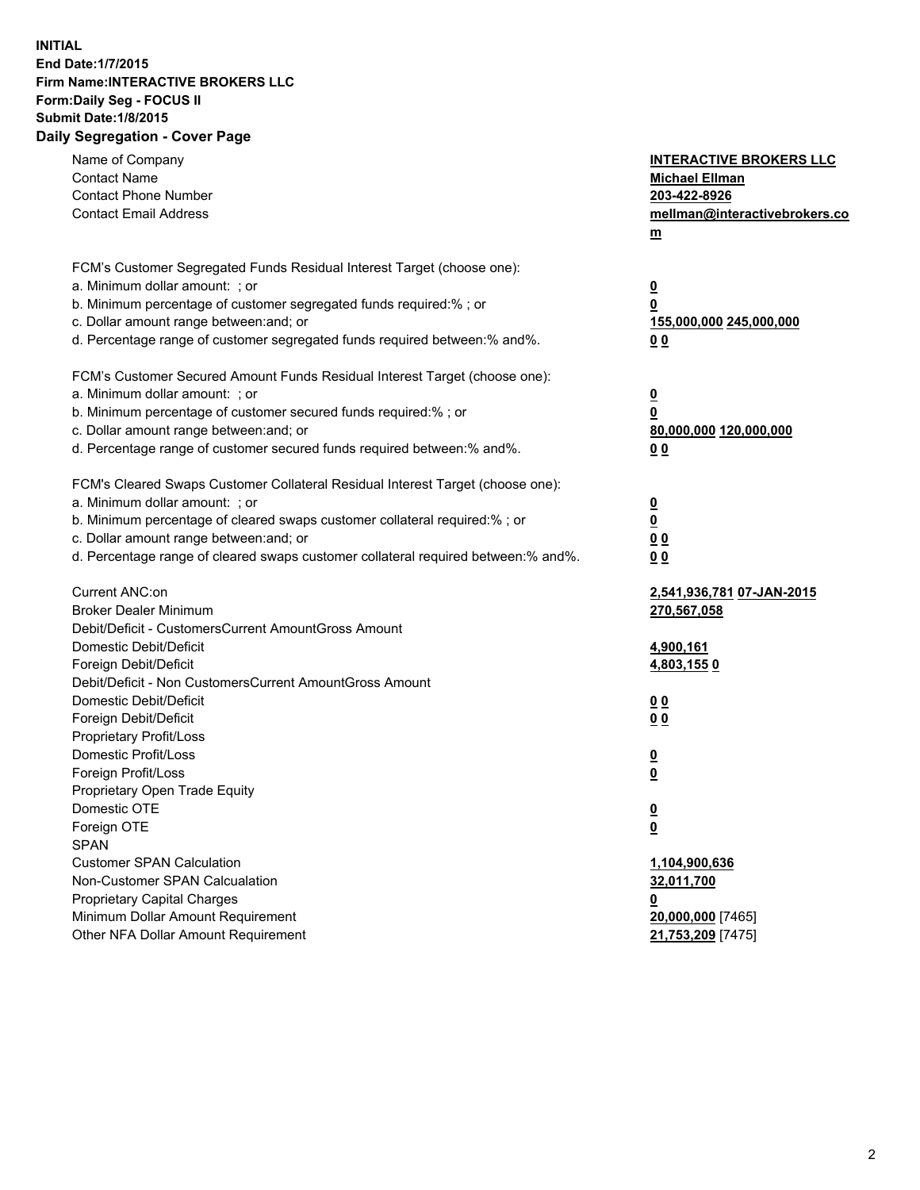## **INITIAL End Date:1/7/2015 Firm Name:INTERACTIVE BROKERS LLC Form:Daily Seg - FOCUS II Submit Date:1/8/2015 Daily Segregation - Cover Page**

| Name of Company                                                                   | <b>INTERACTIVE BROKERS LLC</b> |
|-----------------------------------------------------------------------------------|--------------------------------|
| <b>Contact Name</b>                                                               | <b>Michael Ellman</b>          |
| <b>Contact Phone Number</b>                                                       | 203-422-8926                   |
| <b>Contact Email Address</b>                                                      | mellman@interactivebrokers.co  |
|                                                                                   | $\underline{\mathbf{m}}$       |
| FCM's Customer Segregated Funds Residual Interest Target (choose one):            |                                |
| a. Minimum dollar amount: ; or                                                    | $\overline{\mathbf{0}}$        |
| b. Minimum percentage of customer segregated funds required:% ; or                | 0                              |
| c. Dollar amount range between: and; or                                           | 155,000,000 245,000,000        |
| d. Percentage range of customer segregated funds required between:% and%.         | 00                             |
| FCM's Customer Secured Amount Funds Residual Interest Target (choose one):        |                                |
| a. Minimum dollar amount: ; or                                                    | $\overline{\mathbf{0}}$        |
| b. Minimum percentage of customer secured funds required:% ; or                   | 0                              |
| c. Dollar amount range between: and; or                                           | 80,000,000 120,000,000         |
| d. Percentage range of customer secured funds required between:% and%.            | 00                             |
| FCM's Cleared Swaps Customer Collateral Residual Interest Target (choose one):    |                                |
| a. Minimum dollar amount: ; or                                                    | $\overline{\mathbf{0}}$        |
| b. Minimum percentage of cleared swaps customer collateral required:% ; or        | $\overline{\mathbf{0}}$        |
| c. Dollar amount range between: and; or                                           | 0 <sub>0</sub>                 |
| d. Percentage range of cleared swaps customer collateral required between:% and%. | 0 <sub>0</sub>                 |
|                                                                                   |                                |
| Current ANC:on                                                                    | 2,541,936,781 07-JAN-2015      |
| <b>Broker Dealer Minimum</b>                                                      | 270,567,058                    |
| Debit/Deficit - CustomersCurrent AmountGross Amount                               |                                |
| Domestic Debit/Deficit                                                            | <u>4,900,161</u>               |
| Foreign Debit/Deficit                                                             | <u>4,803,1550</u>              |
| Debit/Deficit - Non CustomersCurrent AmountGross Amount                           |                                |
| Domestic Debit/Deficit                                                            | 0 <sub>0</sub>                 |
| Foreign Debit/Deficit                                                             | 0 <sub>0</sub>                 |
| Proprietary Profit/Loss                                                           |                                |
| Domestic Profit/Loss                                                              | $\overline{\mathbf{0}}$        |
| Foreign Profit/Loss                                                               | $\underline{\mathbf{0}}$       |
| Proprietary Open Trade Equity                                                     |                                |
| Domestic OTE                                                                      | <u>0</u>                       |
| Foreign OTE                                                                       | <u>0</u>                       |
| <b>SPAN</b>                                                                       |                                |
| <b>Customer SPAN Calculation</b>                                                  | 1,104,900,636                  |
| Non-Customer SPAN Calcualation                                                    | 32,011,700                     |
| Proprietary Capital Charges                                                       | <u>0</u>                       |
| Minimum Dollar Amount Requirement                                                 | 20,000,000 [7465]              |
| Other NFA Dollar Amount Requirement                                               | 21,753,209 [7475]              |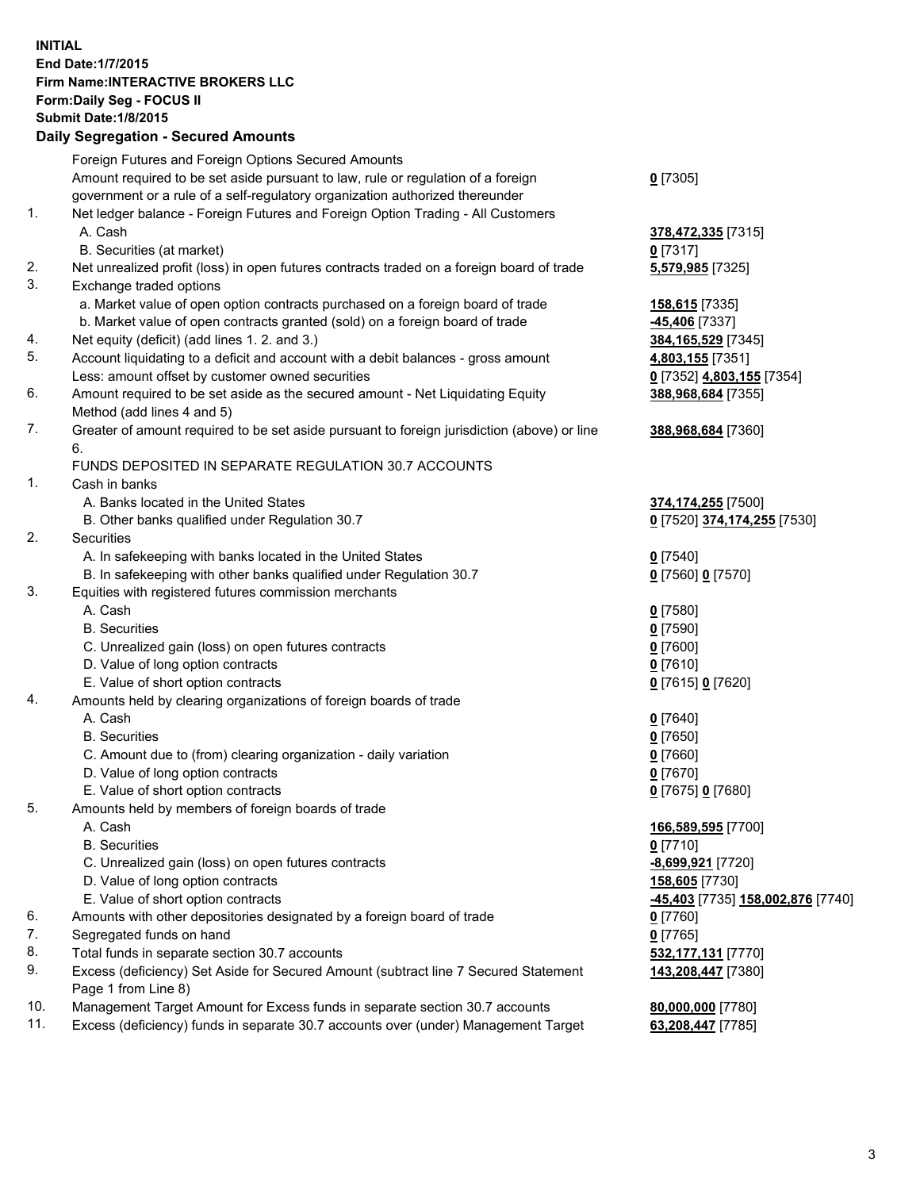## **INITIAL End Date:1/7/2015 Firm Name:INTERACTIVE BROKERS LLC Form:Daily Seg - FOCUS II Submit Date:1/8/2015 Daily Segregation - Secured Amounts**

|     | Foreign Futures and Foreign Options Secured Amounts                                         |                                  |
|-----|---------------------------------------------------------------------------------------------|----------------------------------|
|     | Amount required to be set aside pursuant to law, rule or regulation of a foreign            | $0$ [7305]                       |
|     | government or a rule of a self-regulatory organization authorized thereunder                |                                  |
| 1.  | Net ledger balance - Foreign Futures and Foreign Option Trading - All Customers             |                                  |
|     | A. Cash                                                                                     | 378,472,335 [7315]               |
|     | B. Securities (at market)                                                                   | $0$ [7317]                       |
| 2.  | Net unrealized profit (loss) in open futures contracts traded on a foreign board of trade   | 5,579,985 [7325]                 |
| 3.  | Exchange traded options                                                                     |                                  |
|     | a. Market value of open option contracts purchased on a foreign board of trade              | 158,615 [7335]                   |
|     | b. Market value of open contracts granted (sold) on a foreign board of trade                | <u>-45,406</u> [7337]            |
| 4.  | Net equity (deficit) (add lines 1.2. and 3.)                                                | 384,165,529 [7345]               |
| 5.  | Account liquidating to a deficit and account with a debit balances - gross amount           | 4,803,155 [7351]                 |
|     | Less: amount offset by customer owned securities                                            | 0 [7352] 4,803,155 [7354]        |
| 6.  | Amount required to be set aside as the secured amount - Net Liquidating Equity              | 388,968,684 [7355]               |
|     | Method (add lines 4 and 5)                                                                  |                                  |
| 7.  | Greater of amount required to be set aside pursuant to foreign jurisdiction (above) or line | 388,968,684 [7360]               |
|     | 6.                                                                                          |                                  |
|     | FUNDS DEPOSITED IN SEPARATE REGULATION 30.7 ACCOUNTS                                        |                                  |
| 1.  | Cash in banks                                                                               |                                  |
|     | A. Banks located in the United States                                                       | 374,174,255 [7500]               |
|     | B. Other banks qualified under Regulation 30.7                                              | 0 [7520] 374,174,255 [7530]      |
| 2.  | Securities                                                                                  |                                  |
|     | A. In safekeeping with banks located in the United States                                   | $Q$ [7540]                       |
|     | B. In safekeeping with other banks qualified under Regulation 30.7                          | 0 [7560] 0 [7570]                |
| 3.  | Equities with registered futures commission merchants                                       |                                  |
|     | A. Cash                                                                                     | $0$ [7580]                       |
|     | <b>B.</b> Securities                                                                        | $0$ [7590]                       |
|     | C. Unrealized gain (loss) on open futures contracts                                         | $0$ [7600]                       |
|     | D. Value of long option contracts                                                           | $0$ [7610]                       |
|     | E. Value of short option contracts                                                          | 0 [7615] 0 [7620]                |
| 4.  | Amounts held by clearing organizations of foreign boards of trade                           |                                  |
|     | A. Cash                                                                                     | $0$ [7640]                       |
|     | <b>B.</b> Securities                                                                        | $0$ [7650]                       |
|     | C. Amount due to (from) clearing organization - daily variation                             | $0$ [7660]                       |
|     | D. Value of long option contracts                                                           | $0$ [7670]                       |
|     | E. Value of short option contracts                                                          | 0 [7675] 0 [7680]                |
| 5.  | Amounts held by members of foreign boards of trade                                          |                                  |
|     | A. Cash                                                                                     | 166,589,595 [7700]               |
|     | <b>B.</b> Securities                                                                        | $0$ [7710]                       |
|     | C. Unrealized gain (loss) on open futures contracts                                         | -8,699,921 [7720]                |
|     | D. Value of long option contracts                                                           | 158,605 [7730]                   |
|     | E. Value of short option contracts                                                          | 45,403 [7735] 158,002,876 [7740] |
| 6.  | Amounts with other depositories designated by a foreign board of trade                      | $0$ [7760]                       |
| 7.  | Segregated funds on hand                                                                    | $0$ [7765]                       |
| 8.  | Total funds in separate section 30.7 accounts                                               | 532,177,131 [7770]               |
| 9.  | Excess (deficiency) Set Aside for Secured Amount (subtract line 7 Secured Statement         | 143,208,447 [7380]               |
|     | Page 1 from Line 8)                                                                         |                                  |
| 10. | Management Target Amount for Excess funds in separate section 30.7 accounts                 | 80,000,000 [7780]                |
| 11. | Excess (deficiency) funds in separate 30.7 accounts over (under) Management Target          | 63,208,447 [7785]                |
|     |                                                                                             |                                  |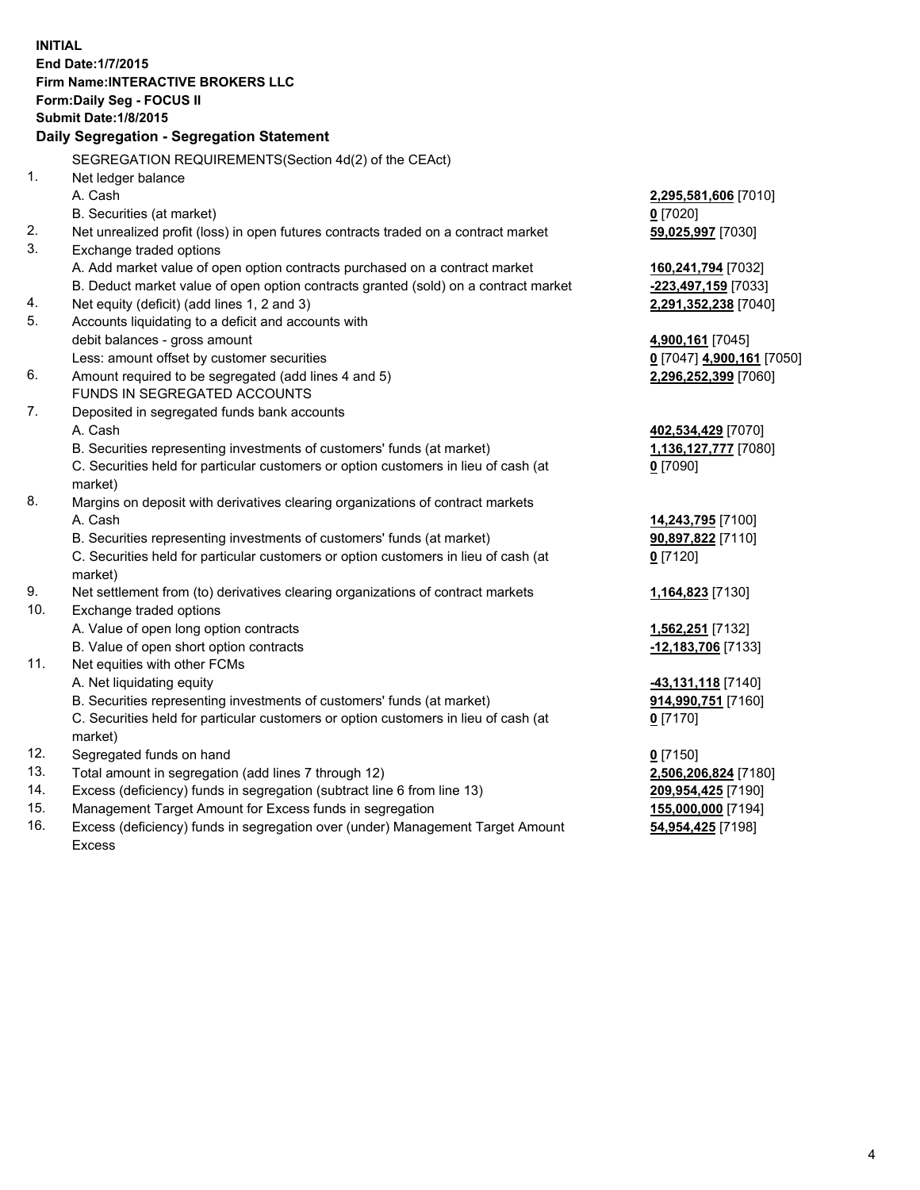**INITIAL End Date:1/7/2015 Firm Name:INTERACTIVE BROKERS LLC Form:Daily Seg - FOCUS II Submit Date:1/8/2015 Daily Segregation - Segregation Statement** SEGREGATION REQUIREMENTS(Section 4d(2) of the CEAct) 1. Net ledger balance A. Cash **2,295,581,606** [7010] B. Securities (at market) **0** [7020] 2. Net unrealized profit (loss) in open futures contracts traded on a contract market **59,025,997** [7030] 3. Exchange traded options A. Add market value of open option contracts purchased on a contract market **160,241,794** [7032] B. Deduct market value of open option contracts granted (sold) on a contract market **-223,497,159** [7033] 4. Net equity (deficit) (add lines 1, 2 and 3) **2,291,352,238** [7040] 5. Accounts liquidating to a deficit and accounts with debit balances - gross amount **4,900,161** [7045] Less: amount offset by customer securities **0** [7047] **4,900,161** [7050] 6. Amount required to be segregated (add lines 4 and 5) **2,296,252,399** [7060] FUNDS IN SEGREGATED ACCOUNTS 7. Deposited in segregated funds bank accounts A. Cash **402,534,429** [7070] B. Securities representing investments of customers' funds (at market) **1,136,127,777** [7080] C. Securities held for particular customers or option customers in lieu of cash (at market) **0** [7090] 8. Margins on deposit with derivatives clearing organizations of contract markets A. Cash **14,243,795** [7100] B. Securities representing investments of customers' funds (at market) **90,897,822** [7110] C. Securities held for particular customers or option customers in lieu of cash (at market) **0** [7120] 9. Net settlement from (to) derivatives clearing organizations of contract markets **1,164,823** [7130] 10. Exchange traded options A. Value of open long option contracts **1,562,251** [7132] B. Value of open short option contracts **-12,183,706** [7133] 11. Net equities with other FCMs A. Net liquidating equity **-43,131,118** [7140] B. Securities representing investments of customers' funds (at market) **914,990,751** [7160] C. Securities held for particular customers or option customers in lieu of cash (at market) **0** [7170] 12. Segregated funds on hand **0** [7150] 13. Total amount in segregation (add lines 7 through 12) **2,506,206,824** [7180] 14. Excess (deficiency) funds in segregation (subtract line 6 from line 13) **209,954,425** [7190] 15. Management Target Amount for Excess funds in segregation **155,000,000** [7194]

16. Excess (deficiency) funds in segregation over (under) Management Target Amount Excess

**54,954,425** [7198]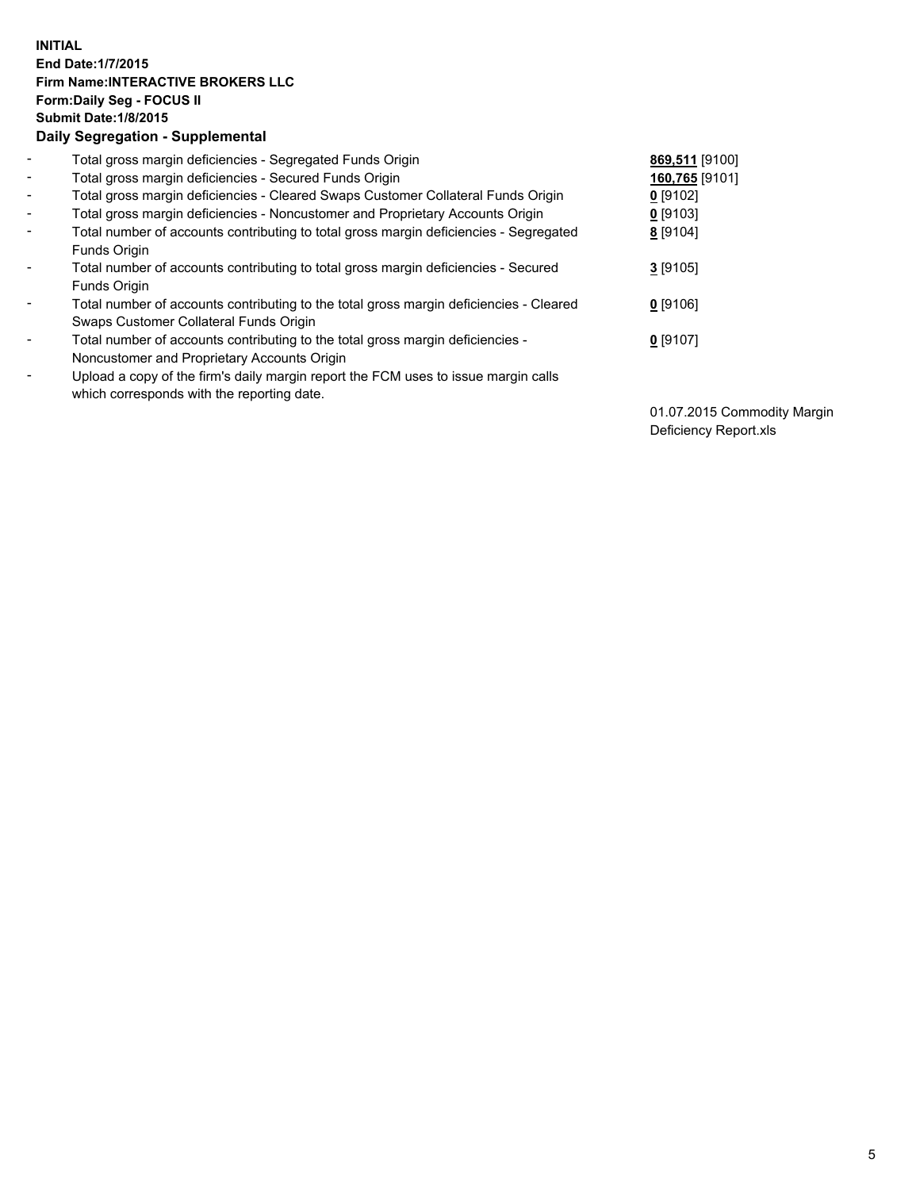## **INITIAL End Date:1/7/2015 Firm Name:INTERACTIVE BROKERS LLC Form:Daily Seg - FOCUS II Submit Date:1/8/2015 Daily Segregation - Supplemental**

| $\overline{\phantom{a}}$     | Total gross margin deficiencies - Segregated Funds Origin                              | 869,511 [9100] |
|------------------------------|----------------------------------------------------------------------------------------|----------------|
| $\blacksquare$               | Total gross margin deficiencies - Secured Funds Origin                                 | 160,765 [9101] |
| $\blacksquare$               | Total gross margin deficiencies - Cleared Swaps Customer Collateral Funds Origin       | $0$ [9102]     |
| $\blacksquare$               | Total gross margin deficiencies - Noncustomer and Proprietary Accounts Origin          | $0$ [9103]     |
| $\blacksquare$               | Total number of accounts contributing to total gross margin deficiencies - Segregated  | 8 [9104]       |
|                              | Funds Origin                                                                           |                |
| $\blacksquare$               | Total number of accounts contributing to total gross margin deficiencies - Secured     | $3$ [9105]     |
|                              | Funds Origin                                                                           |                |
| $\overline{\phantom{a}}$     | Total number of accounts contributing to the total gross margin deficiencies - Cleared | $0$ [9106]     |
|                              | Swaps Customer Collateral Funds Origin                                                 |                |
| $\overline{\phantom{a}}$     | Total number of accounts contributing to the total gross margin deficiencies -         | $0$ [9107]     |
|                              | Noncustomer and Proprietary Accounts Origin                                            |                |
| $\qquad \qquad \blacksquare$ | Upload a copy of the firm's daily margin report the FCM uses to issue margin calls     |                |
|                              | which corresponds with the reporting date.                                             |                |

01.07.2015 Commodity Margin Deficiency Report.xls